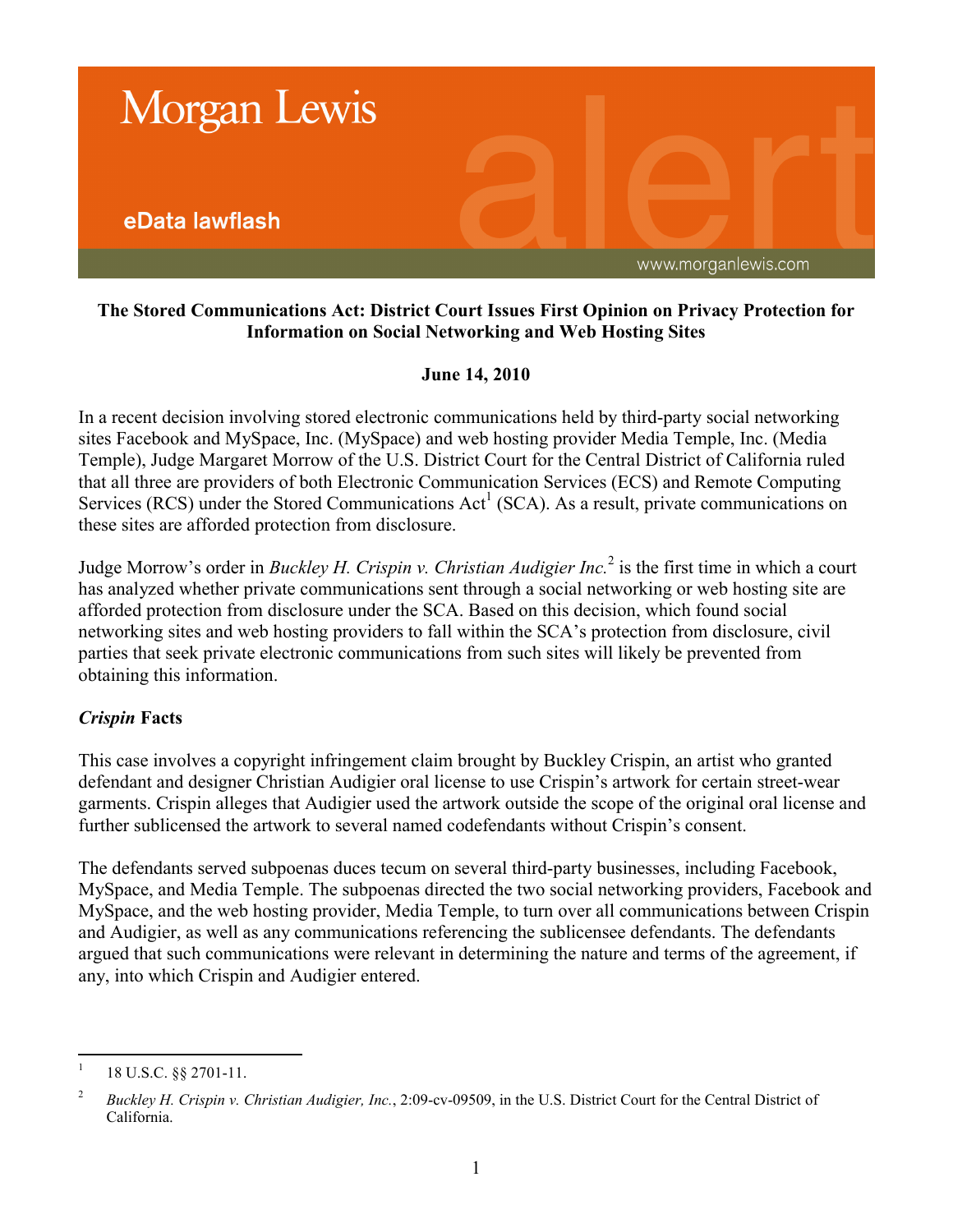

## **The Stored Communications Act: District Court Issues First Opinion on Privacy Protection for Information on Social Networking and Web Hosting Sites**

## **June 14, 2010**

In a recent decision involving stored electronic communications held by third-party social networking sites Facebook and MySpace, Inc. (MySpace) and web hosting provider Media Temple, Inc. (Media Temple), Judge Margaret Morrow of the U.S. District Court for the Central District of California ruled that all three are providers of both Electronic Communication Services (ECS) and Remote Computing Services (RCS) under the Stored Communications Act<sup>1</sup> (SCA). As a result, private communications on these sites are afforded protection from disclosure.

Judge Morrow's order in *Buckley H. Crispin v. Christian Audigier Inc.*<sup>2</sup> is the first time in which a court has analyzed whether private communications sent through a social networking or web hosting site are afforded protection from disclosure under the SCA. Based on this decision, which found social networking sites and web hosting providers to fall within the SCA's protection from disclosure, civil parties that seek private electronic communications from such sites will likely be prevented from obtaining this information.

# *Crispin* **Facts**

This case involves a copyright infringement claim brought by Buckley Crispin, an artist who granted defendant and designer Christian Audigier oral license to use Crispin's artwork for certain street-wear garments. Crispin alleges that Audigier used the artwork outside the scope of the original oral license and further sublicensed the artwork to several named codefendants without Crispin's consent.

The defendants served subpoenas duces tecum on several third-party businesses, including Facebook, MySpace, and Media Temple. The subpoenas directed the two social networking providers, Facebook and MySpace, and the web hosting provider, Media Temple, to turn over all communications between Crispin and Audigier, as well as any communications referencing the sublicensee defendants. The defendants argued that such communications were relevant in determining the nature and terms of the agreement, if any, into which Crispin and Audigier entered.

 $\frac{1}{1}$ 18 U.S.C. §§ 2701-11.

<sup>2</sup> *Buckley H. Crispin v. Christian Audigier, Inc.*, 2:09-cv-09509, in the U.S. District Court for the Central District of California.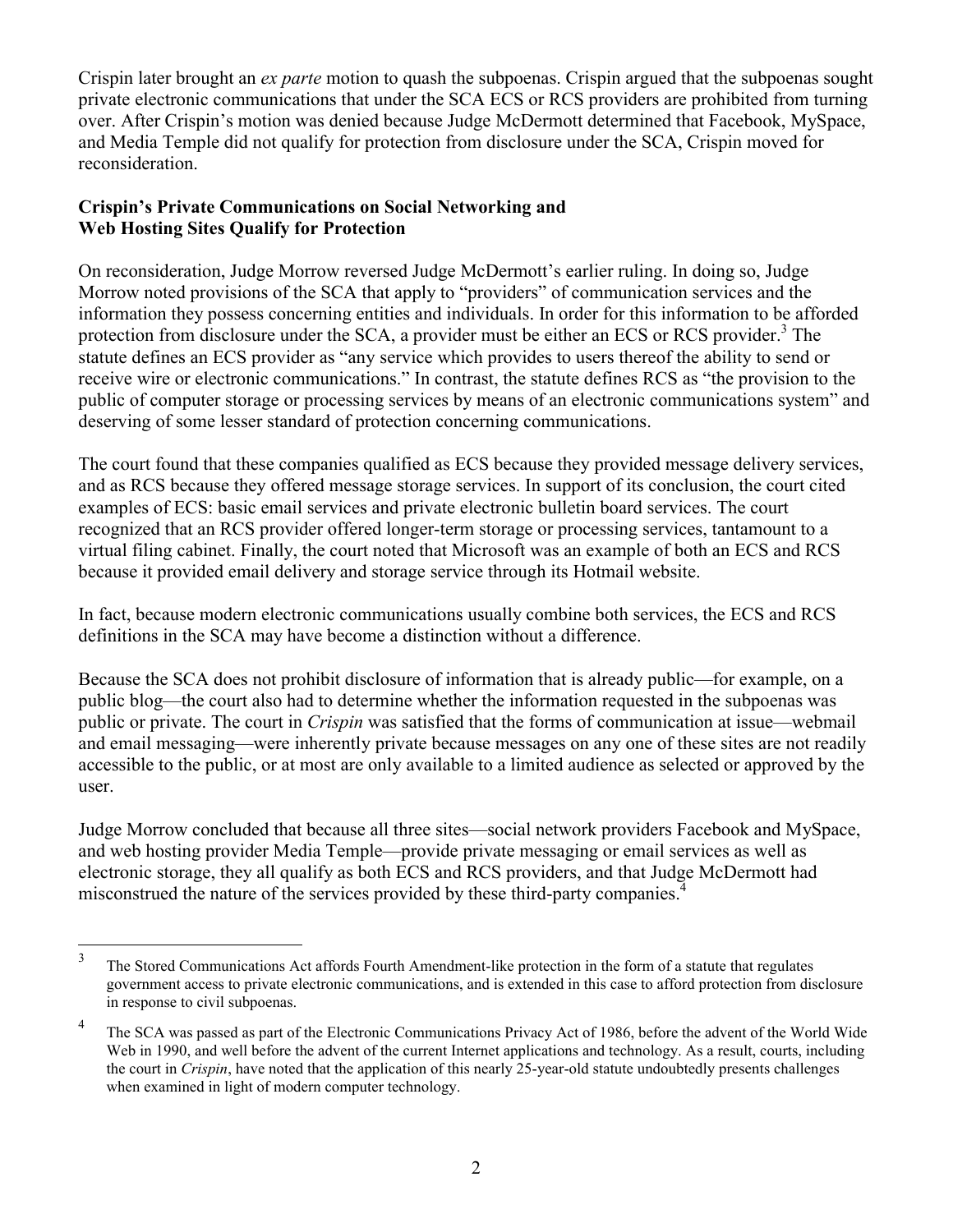Crispin later brought an *ex parte* motion to quash the subpoenas. Crispin argued that the subpoenas sought private electronic communications that under the SCA ECS or RCS providers are prohibited from turning over. After Crispin's motion was denied because Judge McDermott determined that Facebook, MySpace, and Media Temple did not qualify for protection from disclosure under the SCA, Crispin moved for reconsideration.

## **Crispin's Private Communications on Social Networking and Web Hosting Sites Qualify for Protection**

On reconsideration, Judge Morrow reversed Judge McDermott's earlier ruling. In doing so, Judge Morrow noted provisions of the SCA that apply to "providers" of communication services and the information they possess concerning entities and individuals. In order for this information to be afforded protection from disclosure under the SCA, a provider must be either an ECS or RCS provider.<sup>3</sup> The statute defines an ECS provider as "any service which provides to users thereof the ability to send or receive wire or electronic communications." In contrast, the statute defines RCS as "the provision to the public of computer storage or processing services by means of an electronic communications system" and deserving of some lesser standard of protection concerning communications.

The court found that these companies qualified as ECS because they provided message delivery services, and as RCS because they offered message storage services. In support of its conclusion, the court cited examples of ECS: basic email services and private electronic bulletin board services. The court recognized that an RCS provider offered longer-term storage or processing services, tantamount to a virtual filing cabinet. Finally, the court noted that Microsoft was an example of both an ECS and RCS because it provided email delivery and storage service through its Hotmail website.

In fact, because modern electronic communications usually combine both services, the ECS and RCS definitions in the SCA may have become a distinction without a difference.

Because the SCA does not prohibit disclosure of information that is already public—for example, on a public blog—the court also had to determine whether the information requested in the subpoenas was public or private. The court in *Crispin* was satisfied that the forms of communication at issue—webmail and email messaging—were inherently private because messages on any one of these sites are not readily accessible to the public, or at most are only available to a limited audience as selected or approved by the user.

Judge Morrow concluded that because all three sites—social network providers Facebook and MySpace, and web hosting provider Media Temple—provide private messaging or email services as well as electronic storage, they all qualify as both ECS and RCS providers, and that Judge McDermott had misconstrued the nature of the services provided by these third-party companies.<sup>4</sup>

 $\frac{1}{3}$ The Stored Communications Act affords Fourth Amendment-like protection in the form of a statute that regulates government access to private electronic communications, and is extended in this case to afford protection from disclosure in response to civil subpoenas.

<sup>4</sup> The SCA was passed as part of the Electronic Communications Privacy Act of 1986, before the advent of the World Wide Web in 1990, and well before the advent of the current Internet applications and technology. As a result, courts, including the court in *Crispin*, have noted that the application of this nearly 25-year-old statute undoubtedly presents challenges when examined in light of modern computer technology.